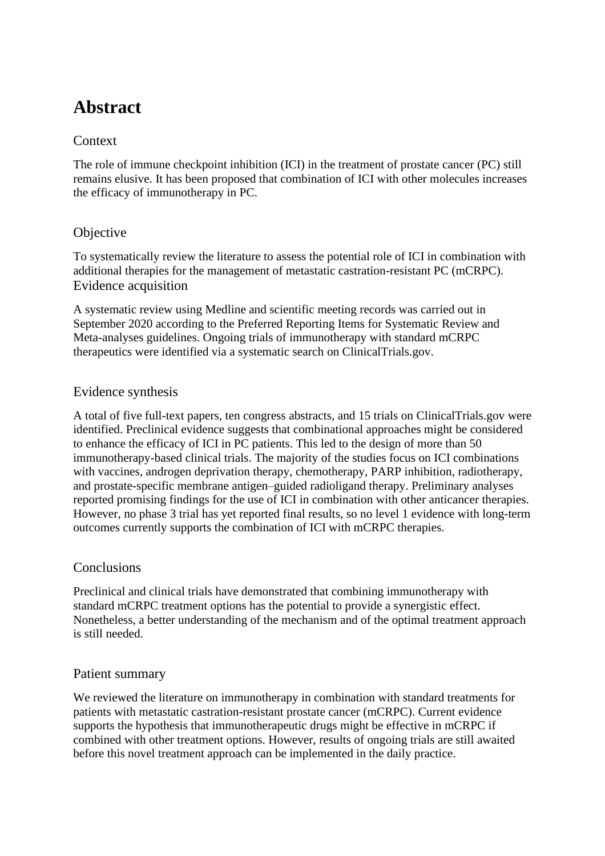# **Abstract**

## **Context**

The role of immune checkpoint inhibition (ICI) in the treatment of prostate cancer (PC) still remains elusive. It has been proposed that combination of ICI with other molecules increases the efficacy of immunotherapy in PC.

## **Objective**

To systematically review the literature to assess the potential role of ICI in combination with additional therapies for the management of metastatic castration-resistant PC (mCRPC). Evidence acquisition

A systematic review using Medline and scientific meeting records was carried out in September 2020 according to the Preferred Reporting Items for Systematic Review and Meta-analyses guidelines. Ongoing trials of immunotherapy with standard mCRPC therapeutics were identified via a systematic search on ClinicalTrials.gov.

## Evidence synthesis

A total of five full-text papers, ten congress abstracts, and 15 trials on ClinicalTrials.gov were identified. Preclinical evidence suggests that combinational approaches might be considered to enhance the efficacy of ICI in PC patients. This led to the design of more than 50 immunotherapy-based clinical trials. The majority of the studies focus on ICI combinations with vaccines, androgen deprivation therapy, chemotherapy, PARP inhibition, radiotherapy, and prostate-specific membrane antigen–guided radioligand therapy. Preliminary analyses reported promising findings for the use of ICI in combination with other anticancer therapies. However, no phase 3 trial has yet reported final results, so no level 1 evidence with long-term outcomes currently supports the combination of ICI with mCRPC therapies.

### **Conclusions**

Preclinical and clinical trials have demonstrated that combining immunotherapy with standard mCRPC treatment options has the potential to provide a synergistic effect. Nonetheless, a better understanding of the mechanism and of the optimal treatment approach is still needed.

### Patient summary

We reviewed the literature on immunotherapy in combination with standard treatments for patients with metastatic castration-resistant prostate cancer (mCRPC). Current evidence supports the hypothesis that immunotherapeutic drugs might be effective in mCRPC if combined with other treatment options. However, results of ongoing trials are still awaited before this novel treatment approach can be implemented in the daily practice.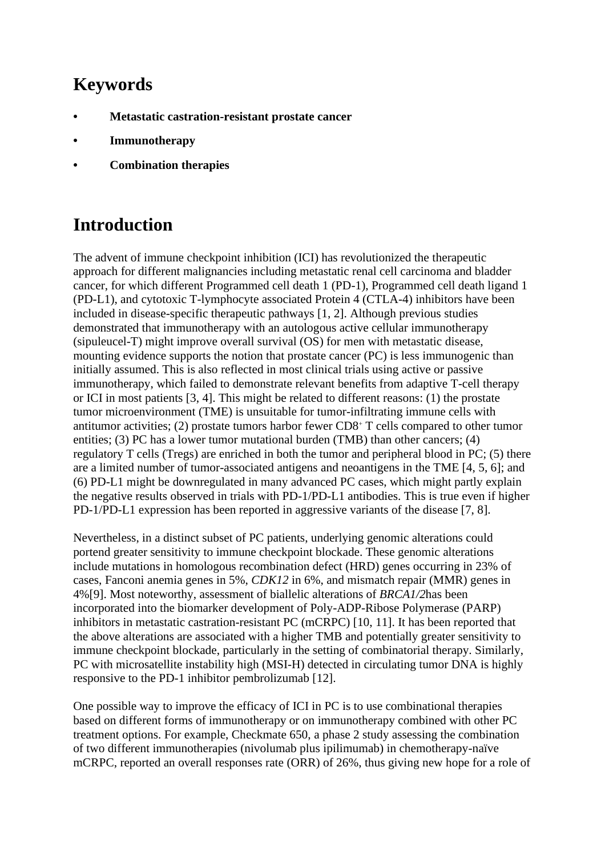# **Keywords**

- **• Metastatic castration-resistant prostate cancer**
- **• Immunotherapy**
- **• Combination therapies**

# **Introduction**

The advent of immune checkpoint inhibition (ICI) has revolutionized the therapeutic approach for different malignancies including metastatic renal cell carcinoma and bladder cancer, for which different Programmed cell death 1 (PD-1), Programmed cell death ligand 1 (PD-L1), and cytotoxic T-lymphocyte associated Protein 4 (CTLA-4) inhibitors have been included in disease-specific therapeutic pathways [\[1,](https://euoncology.europeanurology.com/article/S2588-9311(20)30175-9/fulltext) [2\]](https://euoncology.europeanurology.com/article/S2588-9311(20)30175-9/fulltext). Although previous studies demonstrated that immunotherapy with an autologous active cellular immunotherapy (sipuleucel-T) might improve overall survival (OS) for men with metastatic disease, mounting evidence supports the notion that prostate cancer (PC) is less immunogenic than initially assumed. This is also reflected in most clinical trials using active or passive immunotherapy, which failed to demonstrate relevant benefits from adaptive T-cell therapy or ICI in most patients [\[3,](https://euoncology.europeanurology.com/article/S2588-9311(20)30175-9/fulltext) [4\]](https://euoncology.europeanurology.com/article/S2588-9311(20)30175-9/fulltext). This might be related to different reasons: (1) the prostate tumor microenvironment (TME) is unsuitable for tumor-infiltrating immune cells with antitumor activities; (2) prostate tumors harbor fewer CD8<sup>+</sup> T cells compared to other tumor entities; (3) PC has a lower tumor mutational burden (TMB) than other cancers; (4) regulatory T cells (Tregs) are enriched in both the tumor and peripheral blood in PC; (5) there are a limited number of tumor-associated antigens and neoantigens in the TME [\[4,](https://euoncology.europeanurology.com/article/S2588-9311(20)30175-9/fulltext) [5,](https://euoncology.europeanurology.com/article/S2588-9311(20)30175-9/fulltext) [6\]](https://euoncology.europeanurology.com/article/S2588-9311(20)30175-9/fulltext); and (6) PD-L1 might be downregulated in many advanced PC cases, which might partly explain the negative results observed in trials with PD-1/PD-L1 antibodies. This is true even if higher PD-1/PD-L1 expression has been reported in aggressive variants of the disease [\[7,](https://euoncology.europeanurology.com/article/S2588-9311(20)30175-9/fulltext) [8\]](https://euoncology.europeanurology.com/article/S2588-9311(20)30175-9/fulltext).

Nevertheless, in a distinct subset of PC patients, underlying genomic alterations could portend greater sensitivity to immune checkpoint blockade. These genomic alterations include mutations in homologous recombination defect (HRD) genes occurring in 23% of cases, Fanconi anemia genes in 5%, *CDK12* in 6%, and mismatch repair (MMR) genes in 4%[\[9\]](https://euoncology.europeanurology.com/article/S2588-9311(20)30175-9/fulltext#bib0045). Most noteworthy, assessment of biallelic alterations of *BRCA1/2*has been incorporated into the biomarker development of Poly-ADP-Ribose Polymerase (PARP) inhibitors in metastatic castration-resistant PC (mCRPC) [\[10,](https://euoncology.europeanurology.com/article/S2588-9311(20)30175-9/fulltext) [11\]](https://euoncology.europeanurology.com/article/S2588-9311(20)30175-9/fulltext). It has been reported that the above alterations are associated with a higher TMB and potentially greater sensitivity to immune checkpoint blockade, particularly in the setting of combinatorial therapy. Similarly, PC with microsatellite instability high (MSI-H) detected in circulating tumor DNA is highly responsive to the PD-1 inhibitor pembrolizumab [\[12\]](https://euoncology.europeanurology.com/article/S2588-9311(20)30175-9/fulltext#bib0060).

One possible way to improve the efficacy of ICI in PC is to use combinational therapies based on different forms of immunotherapy or on immunotherapy combined with other PC treatment options. For example, Checkmate 650, a phase 2 study assessing the combination of two different immunotherapies (nivolumab plus ipilimumab) in chemotherapy-naïve mCRPC, reported an overall responses rate (ORR) of 26%, thus giving new hope for a role of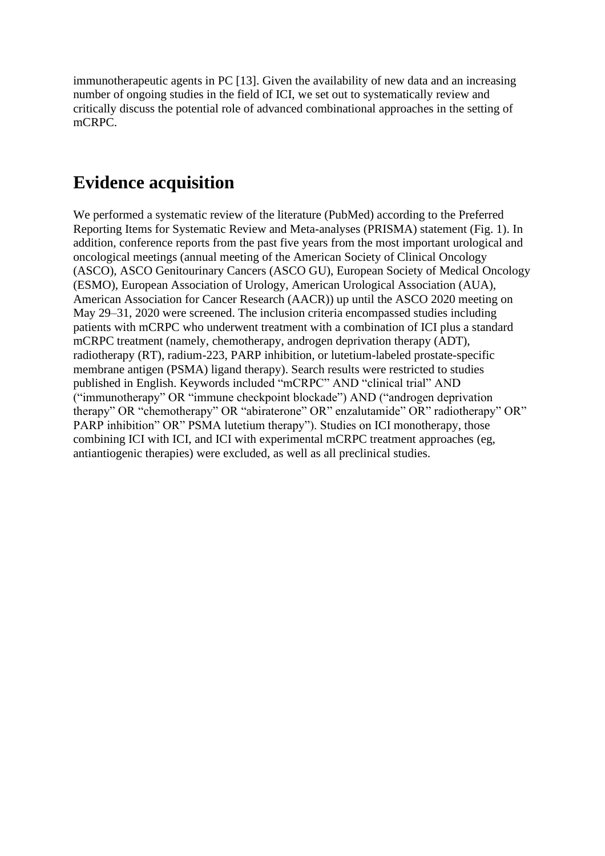immunotherapeutic agents in PC [\[13\]](https://euoncology.europeanurology.com/article/S2588-9311(20)30175-9/fulltext#bib0065). Given the availability of new data and an increasing number of ongoing studies in the field of ICI, we set out to systematically review and critically discuss the potential role of advanced combinational approaches in the setting of mCRPC.

## **Evidence acquisition**

We performed a systematic review of the literature (PubMed) according to the Preferred Reporting Items for Systematic Review and Meta-analyses (PRISMA) statement [\(Fig. 1\)](https://euoncology.europeanurology.com/article/S2588-9311(20)30175-9/fulltext#fig0005). In addition, conference reports from the past five years from the most important urological and oncological meetings (annual meeting of the American Society of Clinical Oncology (ASCO), ASCO Genitourinary Cancers (ASCO GU), European Society of Medical Oncology (ESMO), European Association of Urology, American Urological Association (AUA), American Association for Cancer Research (AACR)) up until the ASCO 2020 meeting on May 29–31, 2020 were screened. The inclusion criteria encompassed studies including patients with mCRPC who underwent treatment with a combination of ICI plus a standard mCRPC treatment (namely, chemotherapy, androgen deprivation therapy (ADT), radiotherapy (RT), radium-223, PARP inhibition, or lutetium-labeled prostate-specific membrane antigen (PSMA) ligand therapy). Search results were restricted to studies published in English. Keywords included "mCRPC" AND "clinical trial" AND ("immunotherapy" OR "immune checkpoint blockade") AND ("androgen deprivation therapy" OR "chemotherapy" OR "abiraterone" OR" enzalutamide" OR" radiotherapy" OR" PARP inhibition" OR" PSMA lutetium therapy"). Studies on ICI monotherapy, those combining ICI with ICI, and ICI with experimental mCRPC treatment approaches (eg, antiantiogenic therapies) were excluded, as well as all preclinical studies.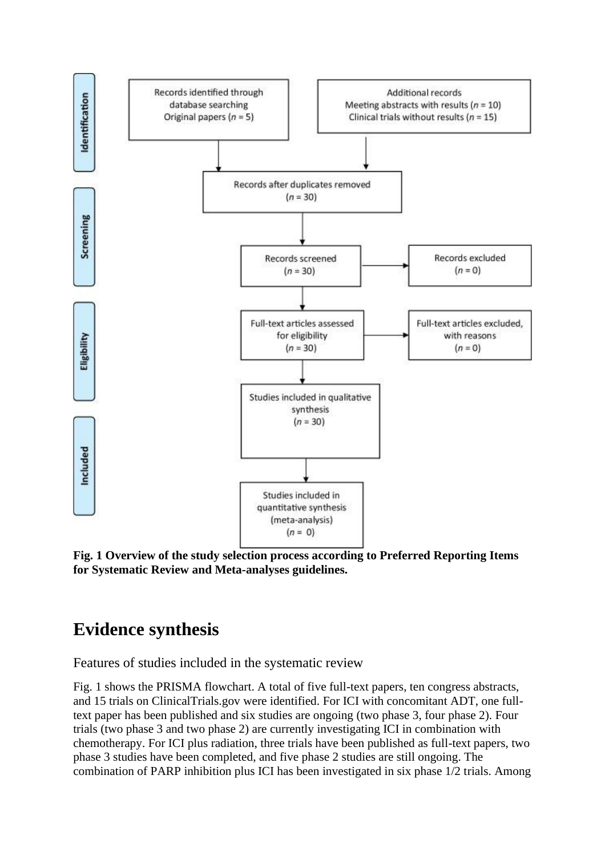

**Fig. 1 Overview of the study selection process according to Preferred Reporting Items for Systematic Review and Meta-analyses guidelines.**

## **Evidence synthesis**

Features of studies included in the systematic review

[Fig. 1](https://euoncology.europeanurology.com/article/S2588-9311(20)30175-9/fulltext#fig0005) shows the PRISMA flowchart. A total of five full-text papers, ten congress abstracts, and 15 trials on ClinicalTrials.gov were identified. For ICI with concomitant ADT, one fulltext paper has been published and six studies are ongoing (two phase 3, four phase 2). Four trials (two phase 3 and two phase 2) are currently investigating ICI in combination with chemotherapy. For ICI plus radiation, three trials have been published as full-text papers, two phase 3 studies have been completed, and five phase 2 studies are still ongoing. The combination of PARP inhibition plus ICI has been investigated in six phase 1/2 trials. Among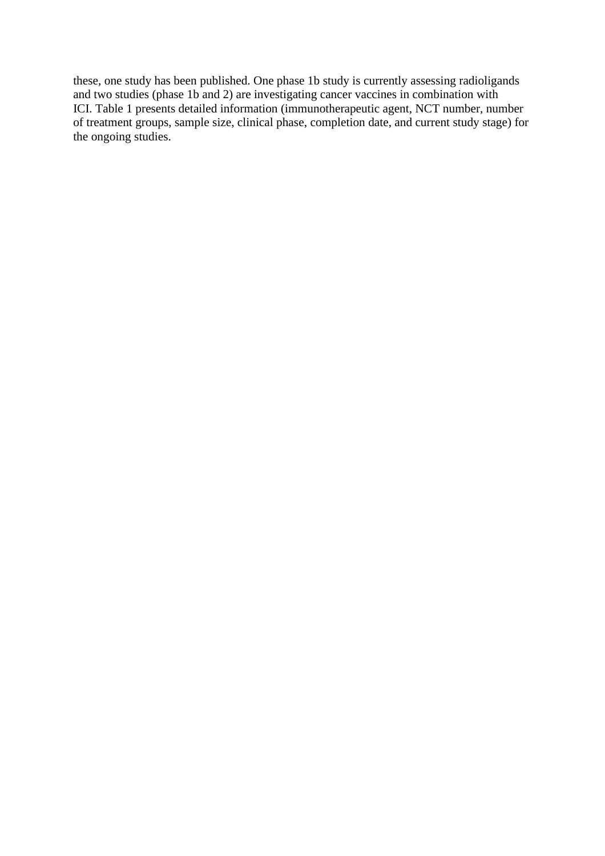these, one study has been published. One phase 1b study is currently assessing radioligands and two studies (phase 1b and 2) are investigating cancer vaccines in combination with ICI. [Table 1](https://euoncology.europeanurology.com/article/S2588-9311(20)30175-9/fulltext#tbl0005) presents detailed information (immunotherapeutic agent, NCT number, number of treatment groups, sample size, clinical phase, completion date, and current study stage) for the ongoing studies.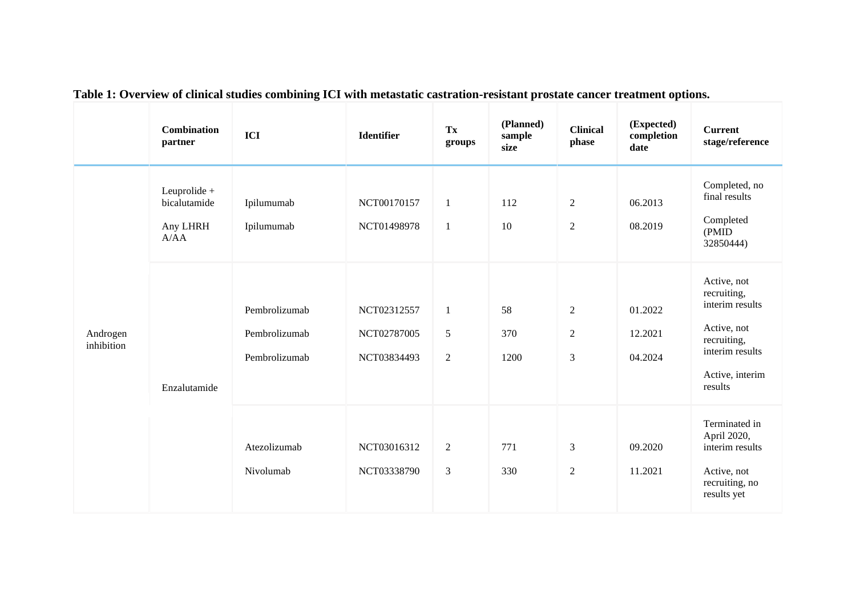|                        | <b>Combination</b><br>partner                    | ICI                                             | <b>Identifier</b>                         | Tx<br>groups                             | (Planned)<br>sample<br>size | <b>Clinical</b><br>phase                           | (Expected)<br>completion<br>date | <b>Current</b><br>$stage/reference$                                                                                          |
|------------------------|--------------------------------------------------|-------------------------------------------------|-------------------------------------------|------------------------------------------|-----------------------------|----------------------------------------------------|----------------------------------|------------------------------------------------------------------------------------------------------------------------------|
| Androgen<br>inhibition | Leuprolide +<br>bicalutamide<br>Any LHRH<br>A/AA | Ipilumumab<br>Ipilumumab                        | NCT00170157<br>NCT01498978                | $\mathbf{1}$<br>$\mathbf{1}$             | 112<br>10                   | $\overline{2}$<br>$\overline{2}$                   | 06.2013<br>08.2019               | Completed, no<br>final results<br>Completed<br>(PMID)<br>32850444)                                                           |
|                        | Enzalutamide                                     | Pembrolizumab<br>Pembrolizumab<br>Pembrolizumab | NCT02312557<br>NCT02787005<br>NCT03834493 | $\mathbf{1}$<br>$\sqrt{5}$<br>$\sqrt{2}$ | 58<br>370<br>1200           | $\overline{2}$<br>$\overline{2}$<br>$\mathfrak{Z}$ | 01.2022<br>12.2021<br>04.2024    | Active, not<br>recruiting,<br>interim results<br>Active, not<br>recruiting,<br>interim results<br>Active, interim<br>results |
|                        |                                                  | Atezolizumab<br>Nivolumab                       | NCT03016312<br>NCT03338790                | $\overline{2}$<br>$\mathfrak{Z}$         | 771<br>330                  | 3<br>$\overline{2}$                                | 09.2020<br>11.2021               | Terminated in<br>April 2020,<br>interim results<br>Active, not<br>recruiting, no<br>results yet                              |

**Table 1: Overview of clinical studies combining ICI with metastatic castration-resistant prostate cancer treatment options.**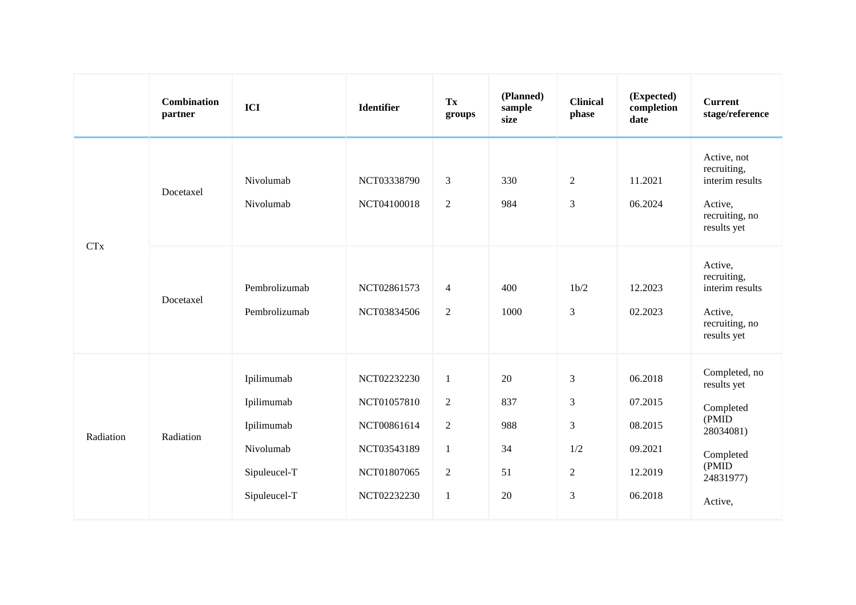|                       | <b>Combination</b><br>partner | ICI                                                                                 | <b>Identifier</b>                                                                      | Tx<br>groups                                                                                       | (Planned)<br>sample<br>size        | <b>Clinical</b><br>phase                                                                      | (Expected)<br>completion<br>date                               | <b>Current</b><br>stage/reference                                                                             |
|-----------------------|-------------------------------|-------------------------------------------------------------------------------------|----------------------------------------------------------------------------------------|----------------------------------------------------------------------------------------------------|------------------------------------|-----------------------------------------------------------------------------------------------|----------------------------------------------------------------|---------------------------------------------------------------------------------------------------------------|
| <b>CT<sub>x</sub></b> | Docetaxel                     | Nivolumab<br>Nivolumab                                                              | NCT03338790<br>NCT04100018                                                             | $\mathfrak{Z}$<br>2                                                                                | 330<br>984                         | $\sqrt{2}$<br>$\mathfrak{Z}$                                                                  | 11.2021<br>06.2024                                             | Active, not<br>recruiting,<br>interim results<br>Active,<br>recruiting, no<br>results yet                     |
|                       | Docetaxel                     | Pembrolizumab<br>Pembrolizumab                                                      | NCT02861573<br>NCT03834506                                                             | $\overline{4}$<br>2                                                                                | 400<br>1000                        | 1b/2<br>$\mathfrak{Z}$                                                                        | 12.2023<br>02.2023                                             | Active,<br>recruiting,<br>interim results<br>Active,<br>recruiting, no<br>results yet                         |
| Radiation             | Radiation                     | Ipilimumab<br>Ipilimumab<br>Ipilimumab<br>Nivolumab<br>Sipuleucel-T<br>Sipuleucel-T | NCT02232230<br>NCT01057810<br>NCT00861614<br>NCT03543189<br>NCT01807065<br>NCT02232230 | $\mathbf{1}$<br>$\overline{2}$<br>$\overline{2}$<br>$\mathbf{1}$<br>$\overline{2}$<br>$\mathbf{1}$ | 20<br>837<br>988<br>34<br>51<br>20 | $\mathfrak{Z}$<br>$\mathfrak{Z}$<br>$\mathfrak{Z}$<br>1/2<br>$\overline{2}$<br>$\mathfrak{Z}$ | 06.2018<br>07.2015<br>08.2015<br>09.2021<br>12.2019<br>06.2018 | Completed, no<br>results yet<br>Completed<br>(PMID<br>28034081)<br>Completed<br>(PMID<br>24831977)<br>Active, |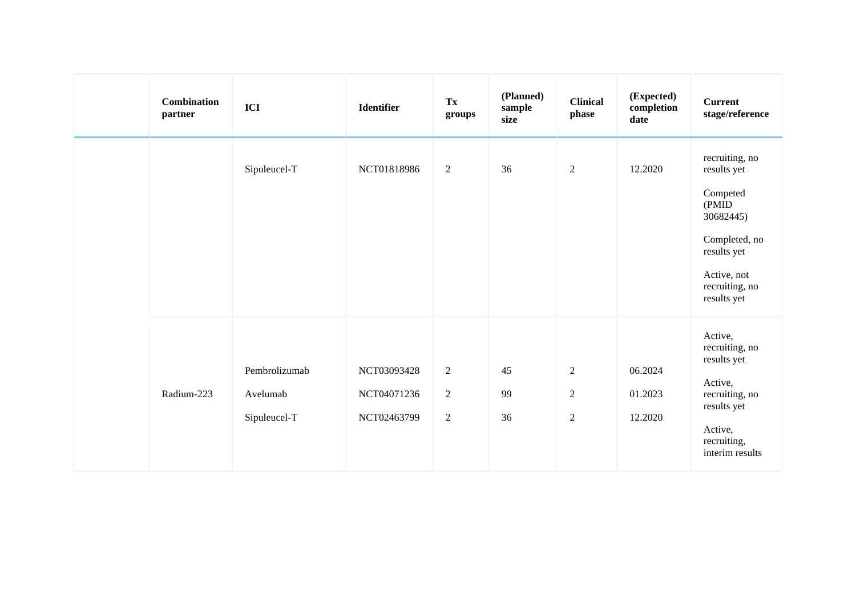|  | <b>Combination</b><br>partner | ICI                                       | <b>Identifier</b>                         | Tx<br>groups                                   | (Planned)<br>sample<br>size | <b>Clinical</b><br>phase                   | (Expected)<br>completion<br>date | <b>Current</b><br>stage/reference                                                                                                               |
|--|-------------------------------|-------------------------------------------|-------------------------------------------|------------------------------------------------|-----------------------------|--------------------------------------------|----------------------------------|-------------------------------------------------------------------------------------------------------------------------------------------------|
|  |                               | Sipuleucel-T                              | NCT01818986                               | $\overline{2}$                                 | 36                          | $\overline{2}$                             | 12.2020                          | recruiting, no<br>results yet<br>Competed<br>(PMID<br>30682445)<br>Completed, no<br>results yet<br>Active, not<br>recruiting, no<br>results yet |
|  | Radium-223                    | Pembrolizumab<br>Avelumab<br>Sipuleucel-T | NCT03093428<br>NCT04071236<br>NCT02463799 | $\sqrt{2}$<br>$\overline{2}$<br>$\overline{2}$ | 45<br>99<br>36              | $\overline{2}$<br>$\sqrt{2}$<br>$\sqrt{2}$ | 06.2024<br>01.2023<br>12.2020    | Active,<br>recruiting, no<br>results yet<br>Active,<br>recruiting, no<br>results yet<br>Active,<br>recruiting,<br>interim results               |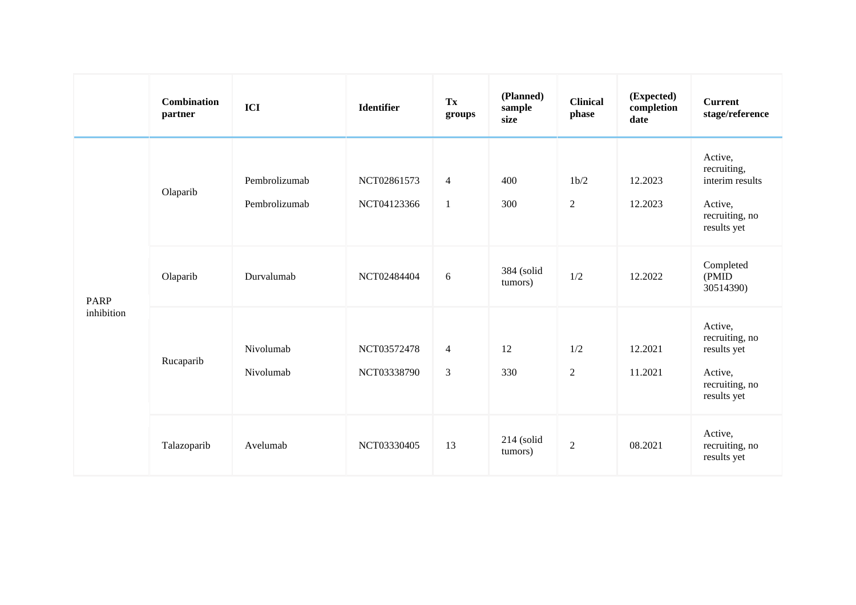|                           | <b>Combination</b><br>partner | ICI                            | <b>Identifier</b>          | Tx<br>groups                     | (Planned)<br>sample<br>size | <b>Clinical</b><br>phase | (Expected)<br>completion<br>date | <b>Current</b><br>stage/reference                                                     |
|---------------------------|-------------------------------|--------------------------------|----------------------------|----------------------------------|-----------------------------|--------------------------|----------------------------------|---------------------------------------------------------------------------------------|
| <b>PARP</b><br>inhibition | Olaparib                      | Pembrolizumab<br>Pembrolizumab | NCT02861573<br>NCT04123366 | $\overline{4}$<br>$\mathbf{1}$   | 400<br>300                  | 1b/2<br>$\sqrt{2}$       | 12.2023<br>12.2023               | Active,<br>recruiting,<br>interim results<br>Active,<br>recruiting, no<br>results yet |
|                           | Olaparib                      | Durvalumab                     | NCT02484404                | 6                                | 384 (solid<br>tumors)       | 1/2                      | 12.2022                          | Completed<br>(PMID<br>30514390)                                                       |
|                           | Rucaparib                     | Nivolumab<br>Nivolumab         | NCT03572478<br>NCT03338790 | $\overline{4}$<br>$\mathfrak{Z}$ | 12<br>330                   | 1/2<br>$\overline{2}$    | 12.2021<br>11.2021               | Active,<br>recruiting, no<br>results yet<br>Active,<br>recruiting, no<br>results yet  |
|                           | Talazoparib                   | Avelumab                       | NCT03330405                | 13                               | $214$ (solid<br>tumors)     | $\overline{2}$           | 08.2021                          | Active,<br>recruiting, no<br>results yet                                              |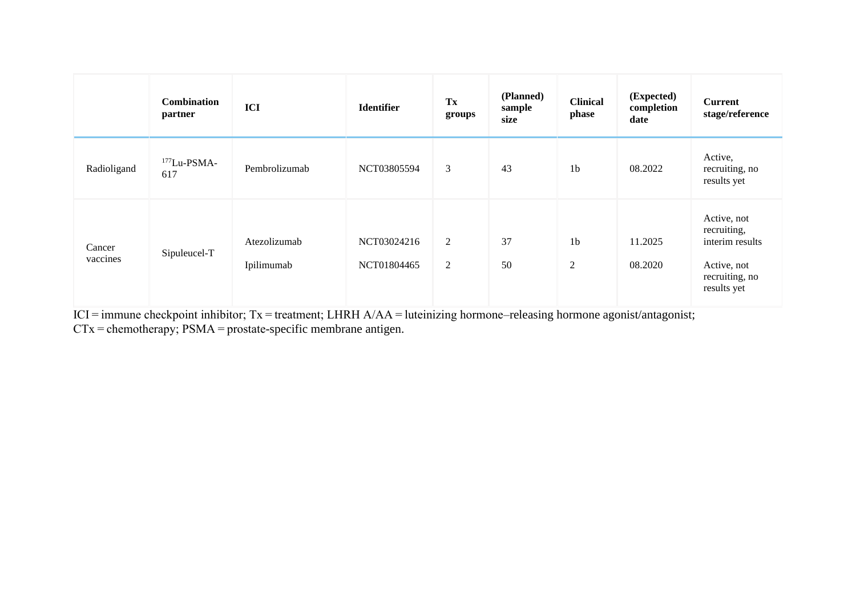|                    | <b>Combination</b><br>partner | ICI                        | <b>Identifier</b>          | $\mathbf{T}\mathbf{x}$<br>groups | (Planned)<br>sample<br>size | <b>Clinical</b><br>phase         | (Expected)<br>completion<br>date | <b>Current</b><br>stage/reference                                                             |
|--------------------|-------------------------------|----------------------------|----------------------------|----------------------------------|-----------------------------|----------------------------------|----------------------------------|-----------------------------------------------------------------------------------------------|
| Radioligand        | $177$ Lu-PSMA-<br>617         | Pembrolizumab              | NCT03805594                | $\mathfrak{Z}$                   | 43                          | 1 <sub>b</sub>                   | 08.2022                          | Active,<br>recruiting, no<br>results yet                                                      |
| Cancer<br>vaccines | Sipuleucel-T                  | Atezolizumab<br>Ipilimumab | NCT03024216<br>NCT01804465 | 2<br>2                           | 37<br>50                    | 1 <sub>b</sub><br>$\overline{2}$ | 11.2025<br>08.2020               | Active, not<br>recruiting,<br>interim results<br>Active, not<br>recruiting, no<br>results yet |

ICI = immune checkpoint inhibitor; Tx = treatment; LHRH A/AA = luteinizing hormone–releasing hormone agonist/antagonist;

CTx = chemotherapy; PSMA = prostate-specific membrane antigen.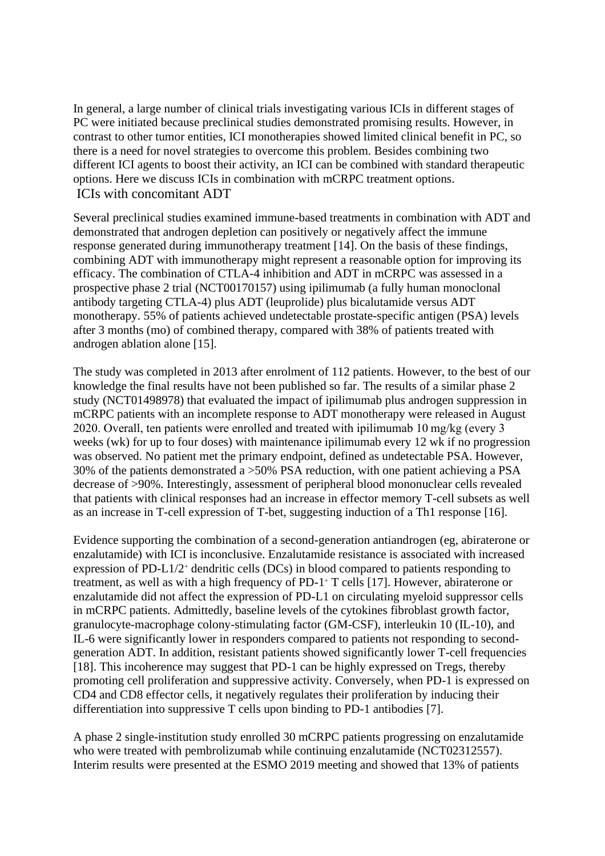In general, a large number of clinical trials investigating various ICIs in different stages of PC were initiated because preclinical studies demonstrated promising results. However, in contrast to other tumor entities, ICI monotherapies showed limited clinical benefit in PC, so there is a need for novel strategies to overcome this problem. Besides combining two different ICI agents to boost their activity, an ICI can be combined with standard therapeutic options. Here we discuss ICIs in combination with mCRPC treatment options. ICIs with concomitant ADT

Several preclinical studies examined immune-based treatments in combination with ADT and demonstrated that androgen depletion can positively or negatively affect the immune response generated during immunotherapy treatment [\[14\]](https://euoncology.europeanurology.com/article/S2588-9311(20)30175-9/fulltext#bib0070). On the basis of these findings, combining ADT with immunotherapy might represent a reasonable option for improving its efficacy. The combination of CTLA-4 inhibition and ADT in mCRPC was assessed in a prospective phase 2 trial (NCT00170157) using ipilimumab (a fully human monoclonal antibody targeting CTLA-4) plus ADT (leuprolide) plus bicalutamide versus ADT monotherapy. 55% of patients achieved undetectable prostate-specific antigen (PSA) levels after 3 months (mo) of combined therapy, compared with 38% of patients treated with androgen ablation alone [\[15\]](https://euoncology.europeanurology.com/article/S2588-9311(20)30175-9/fulltext#bib0075).

The study was completed in 2013 after enrolment of 112 patients. However, to the best of our knowledge the final results have not been published so far. The results of a similar phase 2 study (NCT01498978) that evaluated the impact of ipilimumab plus androgen suppression in mCRPC patients with an incomplete response to ADT monotherapy were released in August 2020. Overall, ten patients were enrolled and treated with ipilimumab 10 mg/kg (every 3 weeks (wk) for up to four doses) with maintenance ipilimumab every 12 wk if no progression was observed. No patient met the primary endpoint, defined as undetectable PSA. However, 30% of the patients demonstrated a >50% PSA reduction, with one patient achieving a PSA decrease of >90%. Interestingly, assessment of peripheral blood mononuclear cells revealed that patients with clinical responses had an increase in effector memory T-cell subsets as well as an increase in T-cell expression of T-bet, suggesting induction of a Th1 response [\[16\]](https://euoncology.europeanurology.com/article/S2588-9311(20)30175-9/fulltext#bib0080).

Evidence supporting the combination of a second-generation antiandrogen (eg, abiraterone or enzalutamide) with ICI is inconclusive. Enzalutamide resistance is associated with increased expression of PD-L1/2<sup>+</sup> dendritic cells (DCs) in blood compared to patients responding to treatment, as well as with a high frequency of PD-1<sup>+</sup> T cells [\[17\]](https://euoncology.europeanurology.com/article/S2588-9311(20)30175-9/fulltext#bib0085). However, abiraterone or enzalutamide did not affect the expression of PD-L1 on circulating myeloid suppressor cells in mCRPC patients. Admittedly, baseline levels of the cytokines fibroblast growth factor, granulocyte-macrophage colony-stimulating factor (GM-CSF), interleukin 10 (IL-10), and IL-6 were significantly lower in responders compared to patients not responding to secondgeneration ADT. In addition, resistant patients showed significantly lower T-cell frequencies [\[18\]](https://euoncology.europeanurology.com/article/S2588-9311(20)30175-9/fulltext#bib0090). This incoherence may suggest that PD-1 can be highly expressed on Tregs, thereby promoting cell proliferation and suppressive activity. Conversely, when PD-1 is expressed on CD4 and CD8 effector cells, it negatively regulates their proliferation by inducing their differentiation into suppressive T cells upon binding to PD-1 antibodies [\[7\]](https://euoncology.europeanurology.com/article/S2588-9311(20)30175-9/fulltext#bib0035).

A phase 2 single-institution study enrolled 30 mCRPC patients progressing on enzalutamide who were treated with pembrolizumab while continuing enzalutamide (NCT02312557). Interim results were presented at the ESMO 2019 meeting and showed that 13% of patients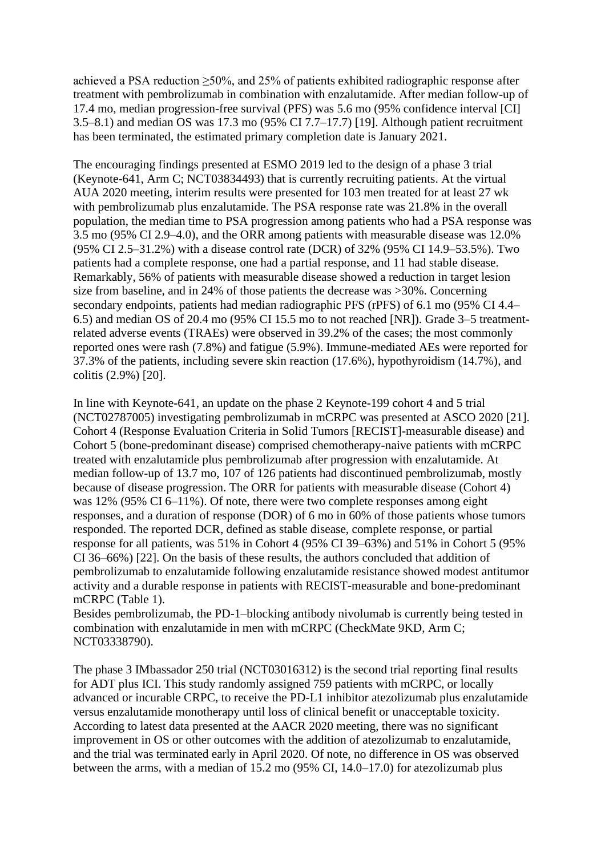achieved a PSA reduction  $\geq 50\%$ , and 25% of patients exhibited radiographic response after treatment with pembrolizumab in combination with enzalutamide. After median follow-up of 17.4 mo, median progression-free survival (PFS) was 5.6 mo (95% confidence interval [CI] 3.5–8.1) and median OS was 17.3 mo (95% CI 7.7–17.7) [\[19\]](https://euoncology.europeanurology.com/article/S2588-9311(20)30175-9/fulltext#bib0095). Although patient recruitment has been terminated, the estimated primary completion date is January 2021.

The encouraging findings presented at ESMO 2019 led to the design of a phase 3 trial (Keynote-641, Arm C; NCT03834493) that is currently recruiting patients. At the virtual AUA 2020 meeting, interim results were presented for 103 men treated for at least 27 wk with pembrolizumab plus enzalutamide. The PSA response rate was 21.8% in the overall population, the median time to PSA progression among patients who had a PSA response was 3.5 mo (95% CI 2.9–4.0), and the ORR among patients with measurable disease was 12.0% (95% CI 2.5–31.2%) with a disease control rate (DCR) of 32% (95% CI 14.9–53.5%). Two patients had a complete response, one had a partial response, and 11 had stable disease. Remarkably, 56% of patients with measurable disease showed a reduction in target lesion size from baseline, and in 24% of those patients the decrease was >30%. Concerning secondary endpoints, patients had median radiographic PFS (rPFS) of 6.1 mo (95% CI 4.4– 6.5) and median OS of 20.4 mo (95% CI 15.5 mo to not reached [NR]). Grade 3–5 treatmentrelated adverse events (TRAEs) were observed in 39.2% of the cases; the most commonly reported ones were rash (7.8%) and fatigue (5.9%). Immune-mediated AEs were reported for 37.3% of the patients, including severe skin reaction (17.6%), hypothyroidism (14.7%), and colitis (2.9%) [\[20\]](https://euoncology.europeanurology.com/article/S2588-9311(20)30175-9/fulltext#bib0100).

In line with Keynote-641, an update on the phase 2 Keynote-199 cohort 4 and 5 trial (NCT02787005) investigating pembrolizumab in mCRPC was presented at ASCO 2020 [\[21\]](https://euoncology.europeanurology.com/article/S2588-9311(20)30175-9/fulltext#bib0105). Cohort 4 (Response Evaluation Criteria in Solid Tumors [RECIST]-measurable disease) and Cohort 5 (bone-predominant disease) comprised chemotherapy-naive patients with mCRPC treated with enzalutamide plus pembrolizumab after progression with enzalutamide. At median follow-up of 13.7 mo, 107 of 126 patients had discontinued pembrolizumab, mostly because of disease progression. The ORR for patients with measurable disease (Cohort 4) was 12% (95% CI 6–11%). Of note, there were two complete responses among eight responses, and a duration of response (DOR) of 6 mo in 60% of those patients whose tumors responded. The reported DCR, defined as stable disease, complete response, or partial response for all patients, was 51% in Cohort 4 (95% CI 39–63%) and 51% in Cohort 5 (95% CI 36–66%) [\[22\]](https://euoncology.europeanurology.com/article/S2588-9311(20)30175-9/fulltext#bib0110). On the basis of these results, the authors concluded that addition of pembrolizumab to enzalutamide following enzalutamide resistance showed modest antitumor activity and a durable response in patients with RECIST-measurable and bone-predominant mCRPC [\(Table 1\)](https://euoncology.europeanurology.com/article/S2588-9311(20)30175-9/fulltext#tbl0005).

Besides pembrolizumab, the PD-1–blocking antibody nivolumab is currently being tested in combination with enzalutamide in men with mCRPC (CheckMate 9KD, Arm C; NCT03338790).

The phase 3 IMbassador 250 trial (NCT03016312) is the second trial reporting final results for ADT plus ICI. This study randomly assigned 759 patients with mCRPC, or locally advanced or incurable CRPC, to receive the PD-L1 inhibitor atezolizumab plus enzalutamide versus enzalutamide monotherapy until loss of clinical benefit or unacceptable toxicity. According to latest data presented at the AACR 2020 meeting, there was no significant improvement in OS or other outcomes with the addition of atezolizumab to enzalutamide, and the trial was terminated early in April 2020. Of note, no difference in OS was observed between the arms, with a median of 15.2 mo (95% CI, 14.0–17.0) for atezolizumab plus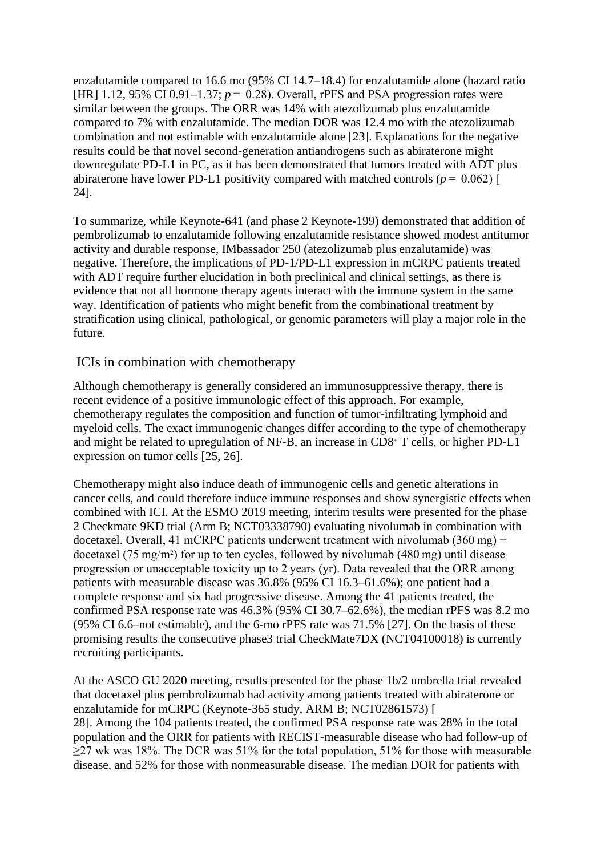enzalutamide compared to 16.6 mo (95% CI 14.7–18.4) for enzalutamide alone (hazard ratio [HR] 1.12, 95% CI 0.91–1.37;  $p = 0.28$ ]. Overall, rPFS and PSA progression rates were similar between the groups. The ORR was 14% with atezolizumab plus enzalutamide compared to 7% with enzalutamide. The median DOR was 12.4 mo with the atezolizumab combination and not estimable with enzalutamide alone [\[23\]](https://euoncology.europeanurology.com/article/S2588-9311(20)30175-9/fulltext#bib0115). Explanations for the negative results could be that novel second-generation antiandrogens such as abiraterone might downregulate PD-L1 in PC, as it has been demonstrated that tumors treated with ADT plus abiraterone have lower PD-L1 positivity compared with matched controls ( $p = 0.062$ ) [ [24\]](https://euoncology.europeanurology.com/article/S2588-9311(20)30175-9/fulltext#bib0120).

To summarize, while Keynote-641 (and phase 2 Keynote-199) demonstrated that addition of pembrolizumab to enzalutamide following enzalutamide resistance showed modest antitumor activity and durable response, IMbassador 250 (atezolizumab plus enzalutamide) was negative. Therefore, the implications of PD-1/PD-L1 expression in mCRPC patients treated with ADT require further elucidation in both preclinical and clinical settings, as there is evidence that not all hormone therapy agents interact with the immune system in the same way. Identification of patients who might benefit from the combinational treatment by stratification using clinical, pathological, or genomic parameters will play a major role in the future.

#### ICIs in combination with chemotherapy

Although chemotherapy is generally considered an immunosuppressive therapy, there is recent evidence of a positive immunologic effect of this approach. For example, chemotherapy regulates the composition and function of tumor-infiltrating lymphoid and myeloid cells. The exact immunogenic changes differ according to the type of chemotherapy and might be related to upregulation of NF-B, an increase in CD8<sup>+</sup> T cells, or higher PD-L1 expression on tumor cells [\[25,](https://euoncology.europeanurology.com/article/S2588-9311(20)30175-9/fulltext) [26\]](https://euoncology.europeanurology.com/article/S2588-9311(20)30175-9/fulltext).

Chemotherapy might also induce death of immunogenic cells and genetic alterations in cancer cells, and could therefore induce immune responses and show synergistic effects when combined with ICI. At the ESMO 2019 meeting, interim results were presented for the phase 2 Checkmate 9KD trial (Arm B; NCT03338790) evaluating nivolumab in combination with docetaxel. Overall, 41 mCRPC patients underwent treatment with nivolumab (360 mg) + docetaxel (75 mg/m<sup>2</sup> ) for up to ten cycles, followed by nivolumab (480 mg) until disease progression or unacceptable toxicity up to 2 years (yr). Data revealed that the ORR among patients with measurable disease was 36.8% (95% CI 16.3–61.6%); one patient had a complete response and six had progressive disease. Among the 41 patients treated, the confirmed PSA response rate was 46.3% (95% CI 30.7–62.6%), the median rPFS was 8.2 mo (95% CI 6.6–not estimable), and the 6-mo rPFS rate was 71.5% [\[27\]](https://euoncology.europeanurology.com/article/S2588-9311(20)30175-9/fulltext#bib0135). On the basis of these promising results the consecutive phase3 trial CheckMate7DX (NCT04100018) is currently recruiting participants.

At the ASCO GU 2020 meeting, results presented for the phase 1b/2 umbrella trial revealed that docetaxel plus pembrolizumab had activity among patients treated with abiraterone or enzalutamide for mCRPC (Keynote-365 study, ARM B; NCT02861573) [ [28\]](https://euoncology.europeanurology.com/article/S2588-9311(20)30175-9/fulltext#bib0140). Among the 104 patients treated, the confirmed PSA response rate was 28% in the total population and the ORR for patients with RECIST-measurable disease who had follow-up of ≥27 wk was 18%. The DCR was 51% for the total population, 51% for those with measurable disease, and 52% for those with nonmeasurable disease. The median DOR for patients with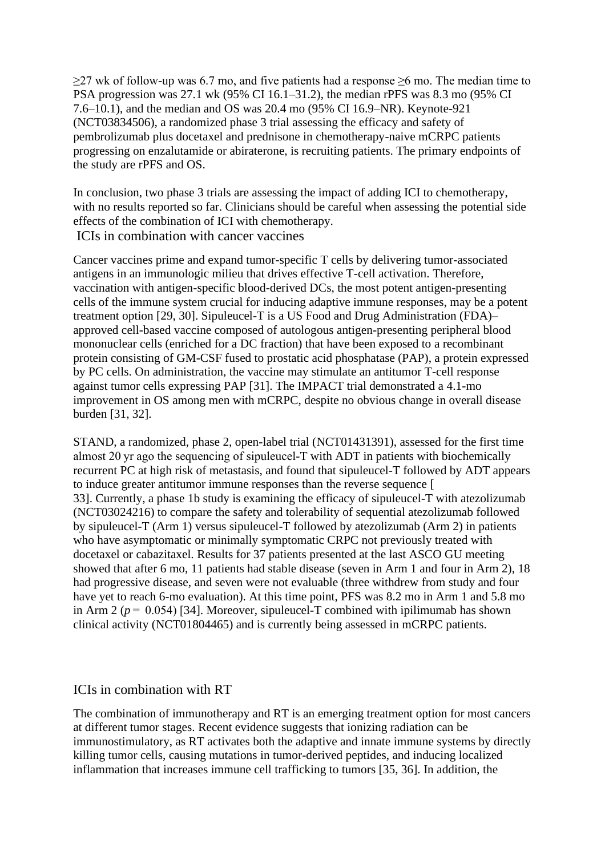$\geq$ 27 wk of follow-up was 6.7 mo, and five patients had a response  $\geq$ 6 mo. The median time to PSA progression was 27.1 wk (95% CI 16.1–31.2), the median rPFS was 8.3 mo (95% CI 7.6–10.1), and the median and OS was 20.4 mo (95% CI 16.9–NR). Keynote-921 (NCT03834506), a randomized phase 3 trial assessing the efficacy and safety of pembrolizumab plus docetaxel and prednisone in chemotherapy-naive mCRPC patients progressing on enzalutamide or abiraterone, is recruiting patients. The primary endpoints of the study are rPFS and OS.

In conclusion, two phase 3 trials are assessing the impact of adding ICI to chemotherapy, with no results reported so far. Clinicians should be careful when assessing the potential side effects of the combination of ICI with chemotherapy. ICIs in combination with cancer vaccines

Cancer vaccines prime and expand tumor-specific T cells by delivering tumor-associated antigens in an immunologic milieu that drives effective T-cell activation. Therefore, vaccination with antigen-specific blood-derived DCs, the most potent antigen-presenting cells of the immune system crucial for inducing adaptive immune responses, may be a potent treatment option [\[29,](https://euoncology.europeanurology.com/article/S2588-9311(20)30175-9/fulltext) [30\]](https://euoncology.europeanurology.com/article/S2588-9311(20)30175-9/fulltext). Sipuleucel-T is a US Food and Drug Administration (FDA)– approved cell-based vaccine composed of autologous antigen-presenting peripheral blood mononuclear cells (enriched for a DC fraction) that have been exposed to a recombinant protein consisting of GM-CSF fused to prostatic acid phosphatase (PAP), a protein expressed by PC cells. On administration, the vaccine may stimulate an antitumor T-cell response against tumor cells expressing PAP [\[31\]](https://euoncology.europeanurology.com/article/S2588-9311(20)30175-9/fulltext#bib0155). The IMPACT trial demonstrated a 4.1-mo improvement in OS among men with mCRPC, despite no obvious change in overall disease burden [\[31,](https://euoncology.europeanurology.com/article/S2588-9311(20)30175-9/fulltext) [32\]](https://euoncology.europeanurology.com/article/S2588-9311(20)30175-9/fulltext).

STAND, a randomized, phase 2, open-label trial (NCT01431391), assessed for the first time almost 20 yr ago the sequencing of sipuleucel-T with ADT in patients with biochemically recurrent PC at high risk of metastasis, and found that sipuleucel-T followed by ADT appears to induce greater antitumor immune responses than the reverse sequence [ [33\]](https://euoncology.europeanurology.com/article/S2588-9311(20)30175-9/fulltext#bib0165). Currently, a phase 1b study is examining the efficacy of sipuleucel-T with atezolizumab (NCT03024216) to compare the safety and tolerability of sequential atezolizumab followed by sipuleucel-T (Arm 1) versus sipuleucel-T followed by atezolizumab (Arm 2) in patients who have asymptomatic or minimally symptomatic CRPC not previously treated with docetaxel or cabazitaxel. Results for 37 patients presented at the last ASCO GU meeting showed that after 6 mo, 11 patients had stable disease (seven in Arm 1 and four in Arm 2), 18 had progressive disease, and seven were not evaluable (three withdrew from study and four have yet to reach 6-mo evaluation). At this time point, PFS was 8.2 mo in Arm 1 and 5.8 mo in Arm 2 ( $p = 0.054$ ) [\[34\]](https://euoncology.europeanurology.com/article/S2588-9311(20)30175-9/fulltext#bib0170). Moreover, sipuleucel-T combined with ipilimumab has shown clinical activity (NCT01804465) and is currently being assessed in mCRPC patients.

#### ICIs in combination with RT

The combination of immunotherapy and RT is an emerging treatment option for most cancers at different tumor stages. Recent evidence suggests that ionizing radiation can be immunostimulatory, as RT activates both the adaptive and innate immune systems by directly killing tumor cells, causing mutations in tumor-derived peptides, and inducing localized inflammation that increases immune cell trafficking to tumors [\[35,](https://euoncology.europeanurology.com/article/S2588-9311(20)30175-9/fulltext) [36\]](https://euoncology.europeanurology.com/article/S2588-9311(20)30175-9/fulltext). In addition, the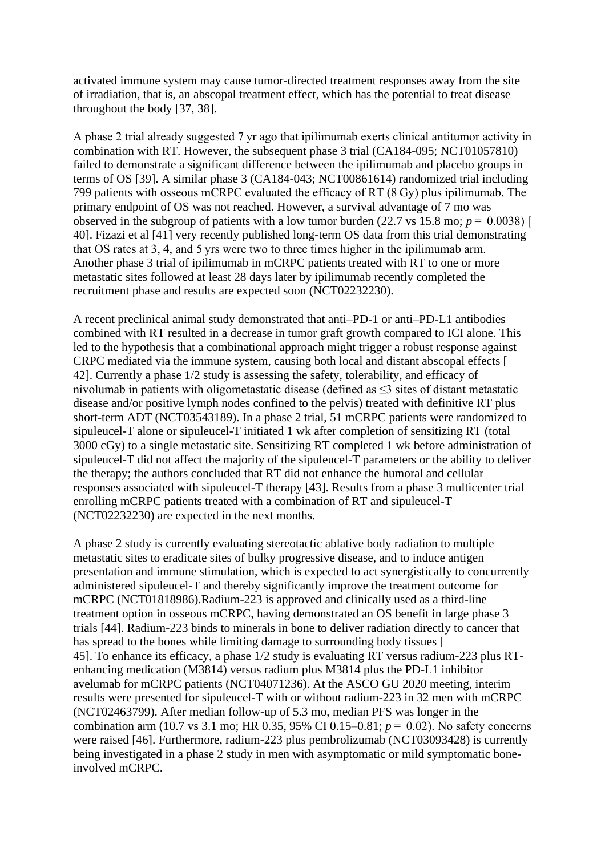activated immune system may cause tumor-directed treatment responses away from the site of irradiation, that is, an abscopal treatment effect, which has the potential to treat disease throughout the body [\[37,](https://euoncology.europeanurology.com/article/S2588-9311(20)30175-9/fulltext) [38\]](https://euoncology.europeanurology.com/article/S2588-9311(20)30175-9/fulltext).

A phase 2 trial already suggested 7 yr ago that ipilimumab exerts clinical antitumor activity in combination with RT. However, the subsequent phase 3 trial (CA184-095; NCT01057810) failed to demonstrate a significant difference between the ipilimumab and placebo groups in terms of OS [\[39\]](https://euoncology.europeanurology.com/article/S2588-9311(20)30175-9/fulltext#bib0195). A similar phase 3 (CA184-043; NCT00861614) randomized trial including 799 patients with osseous mCRPC evaluated the efficacy of RT (8 Gy) plus ipilimumab. The primary endpoint of OS was not reached. However, a survival advantage of 7 mo was observed in the subgroup of patients with a low tumor burden (22.7 vs 15.8 mo;  $p = 0.0038$ ) [ [40\]](https://euoncology.europeanurology.com/article/S2588-9311(20)30175-9/fulltext#bib0200). Fizazi et al [\[41\]](https://euoncology.europeanurology.com/article/S2588-9311(20)30175-9/fulltext#bib0205) very recently published long-term OS data from this trial demonstrating that OS rates at 3, 4, and 5 yrs were two to three times higher in the ipilimumab arm. Another phase 3 trial of ipilimumab in mCRPC patients treated with RT to one or more metastatic sites followed at least 28 days later by ipilimumab recently completed the recruitment phase and results are expected soon (NCT02232230).

A recent preclinical animal study demonstrated that anti–PD-1 or anti–PD-L1 antibodies combined with RT resulted in a decrease in tumor graft growth compared to ICI alone. This led to the hypothesis that a combinational approach might trigger a robust response against CRPC mediated via the immune system, causing both local and distant abscopal effects [ [42\]](https://euoncology.europeanurology.com/article/S2588-9311(20)30175-9/fulltext#bib0210). Currently a phase 1/2 study is assessing the safety, tolerability, and efficacy of nivolumab in patients with oligometastatic disease (defined as ≤3 sites of distant metastatic disease and/or positive lymph nodes confined to the pelvis) treated with definitive RT plus short-term ADT (NCT03543189). In a phase 2 trial, 51 mCRPC patients were randomized to sipuleucel-T alone or sipuleucel-T initiated 1 wk after completion of sensitizing RT (total 3000 cGy) to a single metastatic site. Sensitizing RT completed 1 wk before administration of sipuleucel-T did not affect the majority of the sipuleucel-T parameters or the ability to deliver the therapy; the authors concluded that RT did not enhance the humoral and cellular responses associated with sipuleucel-T therapy [\[43\]](https://euoncology.europeanurology.com/article/S2588-9311(20)30175-9/fulltext#bib0215). Results from a phase 3 multicenter trial enrolling mCRPC patients treated with a combination of RT and sipuleucel-T (NCT02232230) are expected in the next months.

A phase 2 study is currently evaluating stereotactic ablative body radiation to multiple metastatic sites to eradicate sites of bulky progressive disease, and to induce antigen presentation and immune stimulation, which is expected to act synergistically to concurrently administered sipuleucel-T and thereby significantly improve the treatment outcome for mCRPC (NCT01818986).Radium-223 is approved and clinically used as a third-line treatment option in osseous mCRPC, having demonstrated an OS benefit in large phase 3 trials [\[44\]](https://euoncology.europeanurology.com/article/S2588-9311(20)30175-9/fulltext#bib0220). Radium-223 binds to minerals in bone to deliver radiation directly to cancer that has spread to the bones while limiting damage to surrounding body tissues [ [45\]](https://euoncology.europeanurology.com/article/S2588-9311(20)30175-9/fulltext#bib0225). To enhance its efficacy, a phase 1/2 study is evaluating RT versus radium-223 plus RTenhancing medication (M3814) versus radium plus M3814 plus the PD-L1 inhibitor avelumab for mCRPC patients (NCT04071236). At the ASCO GU 2020 meeting, interim results were presented for sipuleucel-T with or without radium-223 in 32 men with mCRPC (NCT02463799). After median follow-up of 5.3 mo, median PFS was longer in the combination arm (10.7 vs 3.1 mo; HR 0.35, 95% CI 0.15–0.81; *p* =  0.02). No safety concerns were raised [\[46\]](https://euoncology.europeanurology.com/article/S2588-9311(20)30175-9/fulltext#bib0230). Furthermore, radium-223 plus pembrolizumab (NCT03093428) is currently being investigated in a phase 2 study in men with asymptomatic or mild symptomatic boneinvolved mCRPC.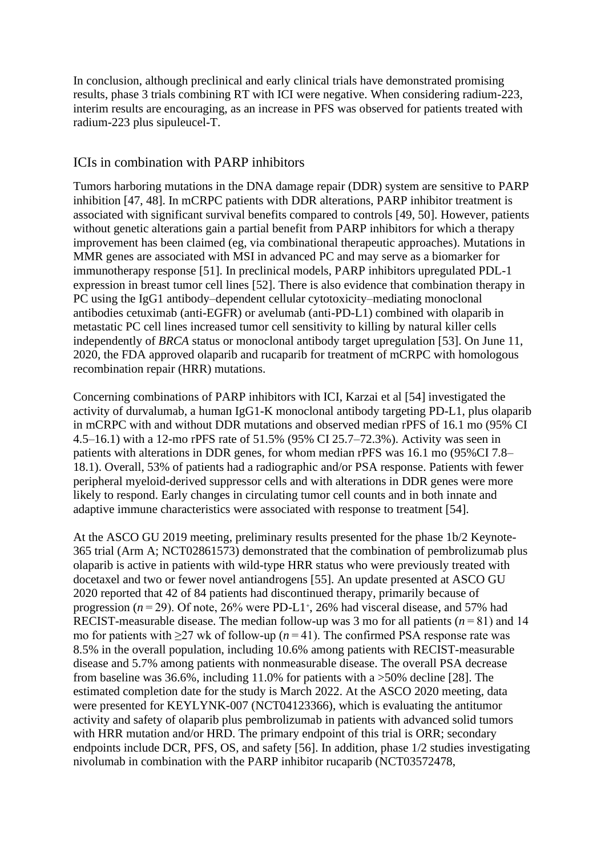In conclusion, although preclinical and early clinical trials have demonstrated promising results, phase 3 trials combining RT with ICI were negative. When considering radium-223, interim results are encouraging, as an increase in PFS was observed for patients treated with radium-223 plus sipuleucel-T.

#### ICIs in combination with PARP inhibitors

Tumors harboring mutations in the DNA damage repair (DDR) system are sensitive to PARP inhibition [\[47,](https://euoncology.europeanurology.com/article/S2588-9311(20)30175-9/fulltext) [48\]](https://euoncology.europeanurology.com/article/S2588-9311(20)30175-9/fulltext). In mCRPC patients with DDR alterations, PARP inhibitor treatment is associated with significant survival benefits compared to controls [\[49,](https://euoncology.europeanurology.com/article/S2588-9311(20)30175-9/fulltext) [50\]](https://euoncology.europeanurology.com/article/S2588-9311(20)30175-9/fulltext). However, patients without genetic alterations gain a partial benefit from PARP inhibitors for which a therapy improvement has been claimed (eg, via combinational therapeutic approaches). Mutations in MMR genes are associated with MSI in advanced PC and may serve as a biomarker for immunotherapy response [\[51\]](https://euoncology.europeanurology.com/article/S2588-9311(20)30175-9/fulltext#bib0255). In preclinical models, PARP inhibitors upregulated PDL-1 expression in breast tumor cell lines [\[52\]](https://euoncology.europeanurology.com/article/S2588-9311(20)30175-9/fulltext#bib0260). There is also evidence that combination therapy in PC using the IgG1 antibody–dependent cellular cytotoxicity–mediating monoclonal antibodies cetuximab (anti-EGFR) or avelumab (anti-PD-L1) combined with olaparib in metastatic PC cell lines increased tumor cell sensitivity to killing by natural killer cells independently of *BRCA* status or monoclonal antibody target upregulation [\[53\]](https://euoncology.europeanurology.com/article/S2588-9311(20)30175-9/fulltext#bib0265). On June 11, 2020, the FDA approved olaparib and rucaparib for treatment of mCRPC with homologous recombination repair (HRR) mutations.

Concerning combinations of PARP inhibitors with ICI, Karzai et al [\[54\]](https://euoncology.europeanurology.com/article/S2588-9311(20)30175-9/fulltext#bib0270) investigated the activity of durvalumab, a human IgG1-K monoclonal antibody targeting PD-L1, plus olaparib in mCRPC with and without DDR mutations and observed median rPFS of 16.1 mo (95% CI 4.5–16.1) with a 12-mo rPFS rate of 51.5% (95% CI 25.7–72.3%). Activity was seen in patients with alterations in DDR genes, for whom median rPFS was 16.1 mo (95%CI 7.8– 18.1). Overall, 53% of patients had a radiographic and/or PSA response. Patients with fewer peripheral myeloid-derived suppressor cells and with alterations in DDR genes were more likely to respond. Early changes in circulating tumor cell counts and in both innate and adaptive immune characteristics were associated with response to treatment [\[54\]](https://euoncology.europeanurology.com/article/S2588-9311(20)30175-9/fulltext#bib0270).

At the ASCO GU 2019 meeting, preliminary results presented for the phase 1b/2 Keynote-365 trial (Arm A; NCT02861573) demonstrated that the combination of pembrolizumab plus olaparib is active in patients with wild-type HRR status who were previously treated with docetaxel and two or fewer novel antiandrogens [\[55\]](https://euoncology.europeanurology.com/article/S2588-9311(20)30175-9/fulltext#bib0275). An update presented at ASCO GU 2020 reported that 42 of 84 patients had discontinued therapy, primarily because of progression  $(n=29)$ . Of note,  $26\%$  were PD-L1<sup>+</sup>, 26% had visceral disease, and 57% had RECIST-measurable disease. The median follow-up was 3 mo for all patients  $(n=81)$  and 14 mo for patients with  $\geq$ 27 wk of follow-up ( $n = 41$ ). The confirmed PSA response rate was 8.5% in the overall population, including 10.6% among patients with RECIST-measurable disease and 5.7% among patients with nonmeasurable disease. The overall PSA decrease from baseline was 36.6%, including 11.0% for patients with a >50% decline [\[28\]](https://euoncology.europeanurology.com/article/S2588-9311(20)30175-9/fulltext#bib0140). The estimated completion date for the study is March 2022. At the ASCO 2020 meeting, data were presented for KEYLYNK-007 (NCT04123366), which is evaluating the antitumor activity and safety of olaparib plus pembrolizumab in patients with advanced solid tumors with HRR mutation and/or HRD. The primary endpoint of this trial is ORR; secondary endpoints include DCR, PFS, OS, and safety [\[56\]](https://euoncology.europeanurology.com/article/S2588-9311(20)30175-9/fulltext#bib0280). In addition, phase 1/2 studies investigating nivolumab in combination with the PARP inhibitor rucaparib (NCT03572478,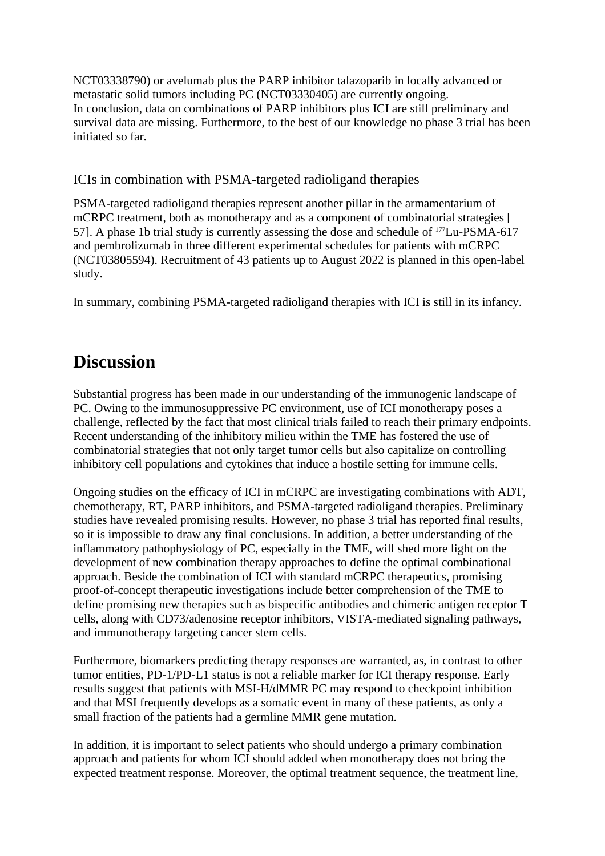NCT03338790) or avelumab plus the PARP inhibitor talazoparib in locally advanced or metastatic solid tumors including PC (NCT03330405) are currently ongoing. In conclusion, data on combinations of PARP inhibitors plus ICI are still preliminary and survival data are missing. Furthermore, to the best of our knowledge no phase 3 trial has been initiated so far.

ICIs in combination with PSMA-targeted radioligand therapies

PSMA-targeted radioligand therapies represent another pillar in the armamentarium of mCRPC treatment, both as monotherapy and as a component of combinatorial strategies [ [57\]](https://euoncology.europeanurology.com/article/S2588-9311(20)30175-9/fulltext#bib0285). A phase 1b trial study is currently assessing the dose and schedule of <sup>177</sup>Lu-PSMA-617 and pembrolizumab in three different experimental schedules for patients with mCRPC (NCT03805594). Recruitment of 43 patients up to August 2022 is planned in this open-label study.

In summary, combining PSMA-targeted radioligand therapies with ICI is still in its infancy.

## **Discussion**

Substantial progress has been made in our understanding of the immunogenic landscape of PC. Owing to the immunosuppressive PC environment, use of ICI monotherapy poses a challenge, reflected by the fact that most clinical trials failed to reach their primary endpoints. Recent understanding of the inhibitory milieu within the TME has fostered the use of combinatorial strategies that not only target tumor cells but also capitalize on controlling inhibitory cell populations and cytokines that induce a hostile setting for immune cells.

Ongoing studies on the efficacy of ICI in mCRPC are investigating combinations with ADT, chemotherapy, RT, PARP inhibitors, and PSMA-targeted radioligand therapies. Preliminary studies have revealed promising results. However, no phase 3 trial has reported final results, so it is impossible to draw any final conclusions. In addition, a better understanding of the inflammatory pathophysiology of PC, especially in the TME, will shed more light on the development of new combination therapy approaches to define the optimal combinational approach. Beside the combination of ICI with standard mCRPC therapeutics, promising proof-of-concept therapeutic investigations include better comprehension of the TME to define promising new therapies such as bispecific antibodies and chimeric antigen receptor T cells, along with CD73/adenosine receptor inhibitors, VISTA-mediated signaling pathways, and immunotherapy targeting cancer stem cells.

Furthermore, biomarkers predicting therapy responses are warranted, as, in contrast to other tumor entities, PD-1/PD-L1 status is not a reliable marker for ICI therapy response. Early results suggest that patients with MSI-H/dMMR PC may respond to checkpoint inhibition and that MSI frequently develops as a somatic event in many of these patients, as only a small fraction of the patients had a germline MMR gene mutation.

In addition, it is important to select patients who should undergo a primary combination approach and patients for whom ICI should added when monotherapy does not bring the expected treatment response. Moreover, the optimal treatment sequence, the treatment line,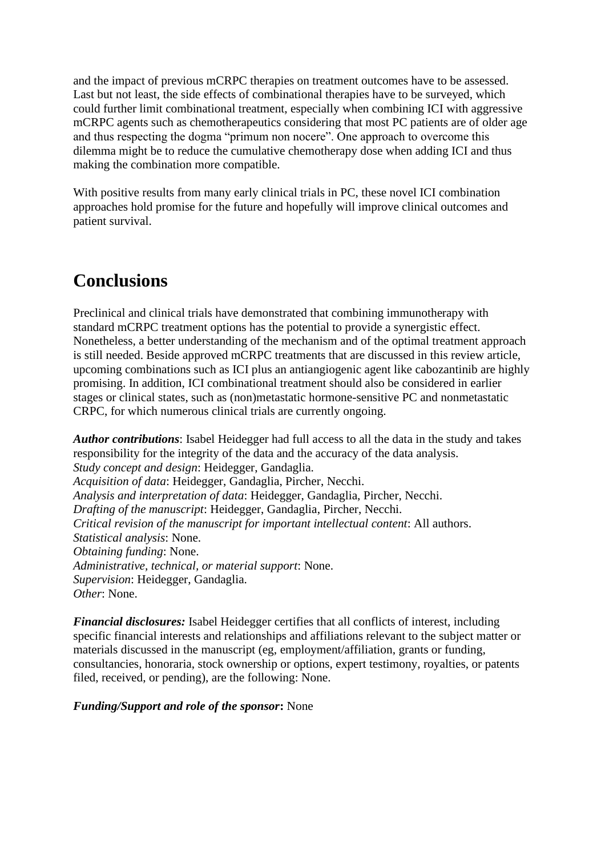and the impact of previous mCRPC therapies on treatment outcomes have to be assessed. Last but not least, the side effects of combinational therapies have to be surveyed, which could further limit combinational treatment, especially when combining ICI with aggressive mCRPC agents such as chemotherapeutics considering that most PC patients are of older age and thus respecting the dogma "primum non nocere". One approach to overcome this dilemma might be to reduce the cumulative chemotherapy dose when adding ICI and thus making the combination more compatible.

With positive results from many early clinical trials in PC, these novel ICI combination approaches hold promise for the future and hopefully will improve clinical outcomes and patient survival.

## **Conclusions**

Preclinical and clinical trials have demonstrated that combining immunotherapy with standard mCRPC treatment options has the potential to provide a synergistic effect. Nonetheless, a better understanding of the mechanism and of the optimal treatment approach is still needed. Beside approved mCRPC treatments that are discussed in this review article, upcoming combinations such as ICI plus an antiangiogenic agent like cabozantinib are highly promising. In addition, ICI combinational treatment should also be considered in earlier stages or clinical states, such as (non)metastatic hormone-sensitive PC and nonmetastatic CRPC, for which numerous clinical trials are currently ongoing.

*Author contributions*: Isabel Heidegger had full access to all the data in the study and takes responsibility for the integrity of the data and the accuracy of the data analysis. *Study concept and design*: Heidegger, Gandaglia. *Acquisition of data*: Heidegger, Gandaglia, Pircher, Necchi. *Analysis and interpretation of data*: Heidegger, Gandaglia, Pircher, Necchi. *Drafting of the manuscript*: Heidegger, Gandaglia, Pircher, Necchi. *Critical revision of the manuscript for important intellectual content*: All authors. *Statistical analysis*: None. *Obtaining funding*: None. *Administrative, technical, or material support*: None. *Supervision*: Heidegger, Gandaglia. *Other*: None.

*Financial disclosures:* Isabel Heidegger certifies that all conflicts of interest, including specific financial interests and relationships and affiliations relevant to the subject matter or materials discussed in the manuscript (eg, employment/affiliation, grants or funding, consultancies, honoraria, stock ownership or options, expert testimony, royalties, or patents filed, received, or pending), are the following: None.

*Funding/Support and role of the sponsor***:** None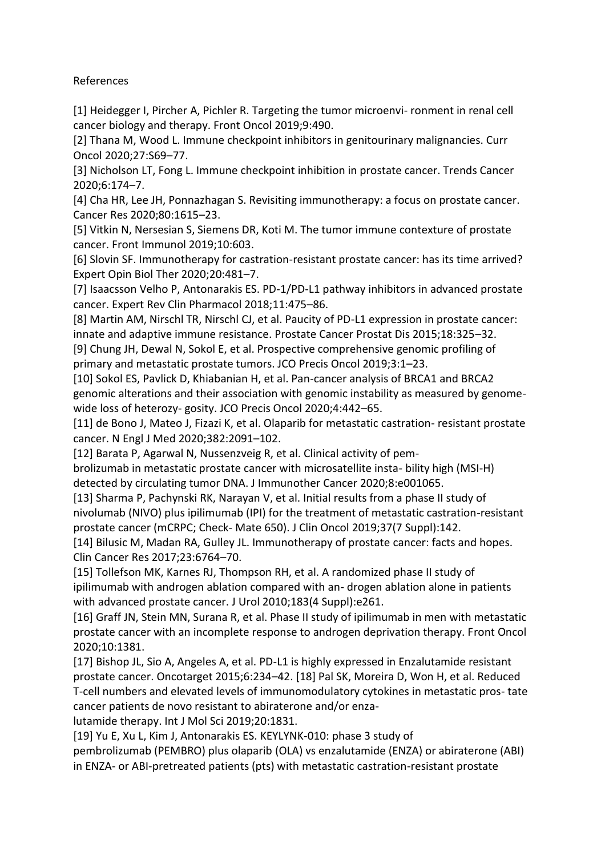References

[1] Heidegger I, Pircher A, Pichler R. Targeting the tumor microenvi- ronment in renal cell cancer biology and therapy. Front Oncol 2019;9:490.

[2] Thana M, Wood L. Immune checkpoint inhibitors in genitourinary malignancies. Curr Oncol 2020;27:S69–77.

[3] Nicholson LT, Fong L. Immune checkpoint inhibition in prostate cancer. Trends Cancer 2020;6:174–7.

[4] Cha HR, Lee JH, Ponnazhagan S. Revisiting immunotherapy: a focus on prostate cancer. Cancer Res 2020;80:1615–23.

[5] Vitkin N, Nersesian S, Siemens DR, Koti M. The tumor immune contexture of prostate cancer. Front Immunol 2019;10:603.

[6] Slovin SF. Immunotherapy for castration-resistant prostate cancer: has its time arrived? Expert Opin Biol Ther 2020;20:481–7.

[7] Isaacsson Velho P, Antonarakis ES. PD-1/PD-L1 pathway inhibitors in advanced prostate cancer. Expert Rev Clin Pharmacol 2018;11:475–86.

[8] Martin AM, Nirschl TR, Nirschl CJ, et al. Paucity of PD-L1 expression in prostate cancer: innate and adaptive immune resistance. Prostate Cancer Prostat Dis 2015;18:325–32.

[9] Chung JH, Dewal N, Sokol E, et al. Prospective comprehensive genomic profiling of primary and metastatic prostate tumors. JCO Precis Oncol 2019;3:1–23.

[10] Sokol ES, Pavlick D, Khiabanian H, et al. Pan-cancer analysis of BRCA1 and BRCA2 genomic alterations and their association with genomic instability as measured by genomewide loss of heterozy- gosity. JCO Precis Oncol 2020;4:442–65.

[11] de Bono J, Mateo J, Fizazi K, et al. Olaparib for metastatic castration- resistant prostate cancer. N Engl J Med 2020;382:2091–102.

[12] Barata P, Agarwal N, Nussenzveig R, et al. Clinical activity of pem-

brolizumab in metastatic prostate cancer with microsatellite insta- bility high (MSI-H) detected by circulating tumor DNA. J Immunother Cancer 2020;8:e001065.

[13] Sharma P, Pachynski RK, Narayan V, et al. Initial results from a phase II study of nivolumab (NIVO) plus ipilimumab (IPI) for the treatment of metastatic castration-resistant prostate cancer (mCRPC; Check- Mate 650). J Clin Oncol 2019;37(7 Suppl):142.

[14] Bilusic M, Madan RA, Gulley JL. Immunotherapy of prostate cancer: facts and hopes. Clin Cancer Res 2017;23:6764–70.

[15] Tollefson MK, Karnes RJ, Thompson RH, et al. A randomized phase II study of ipilimumab with androgen ablation compared with an- drogen ablation alone in patients with advanced prostate cancer. J Urol 2010;183(4 Suppl):e261.

[16] Graff JN, Stein MN, Surana R, et al. Phase II study of ipilimumab in men with metastatic prostate cancer with an incomplete response to androgen deprivation therapy. Front Oncol 2020;10:1381.

[17] Bishop JL, Sio A, Angeles A, et al. PD-L1 is highly expressed in Enzalutamide resistant prostate cancer. Oncotarget 2015;6:234–42. [18] Pal SK, Moreira D, Won H, et al. Reduced T-cell numbers and elevated levels of immunomodulatory cytokines in metastatic pros- tate cancer patients de novo resistant to abiraterone and/or enza-

lutamide therapy. Int J Mol Sci 2019;20:1831.

[19] Yu E, Xu L, Kim J, Antonarakis ES. KEYLYNK-010: phase 3 study of

pembrolizumab (PEMBRO) plus olaparib (OLA) vs enzalutamide (ENZA) or abiraterone (ABI) in ENZA- or ABI-pretreated patients (pts) with metastatic castration-resistant prostate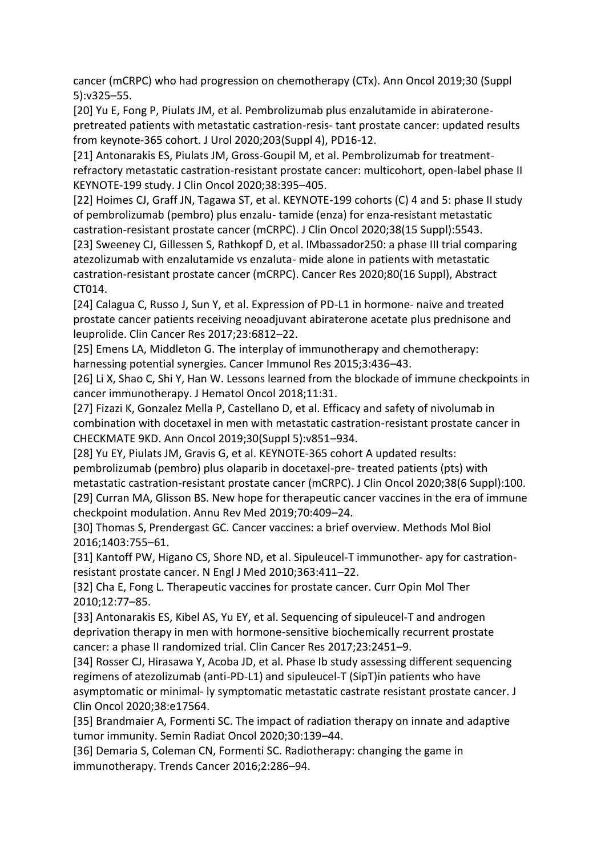cancer (mCRPC) who had progression on chemotherapy (CTx). Ann Oncol 2019;30 (Suppl 5):v325–55.

[20] Yu E, Fong P, Piulats JM, et al. Pembrolizumab plus enzalutamide in abirateronepretreated patients with metastatic castration-resis- tant prostate cancer: updated results from keynote-365 cohort. J Urol 2020;203(Suppl 4), PD16-12.

[21] Antonarakis ES, Piulats JM, Gross-Goupil M, et al. Pembrolizumab for treatmentrefractory metastatic castration-resistant prostate cancer: multicohort, open-label phase II KEYNOTE-199 study. J Clin Oncol 2020;38:395–405.

[22] Hoimes CJ, Graff JN, Tagawa ST, et al. KEYNOTE-199 cohorts (C) 4 and 5: phase II study of pembrolizumab (pembro) plus enzalu- tamide (enza) for enza-resistant metastatic castration-resistant prostate cancer (mCRPC). J Clin Oncol 2020;38(15 Suppl):5543.

[23] Sweeney CJ, Gillessen S, Rathkopf D, et al. IMbassador250: a phase III trial comparing atezolizumab with enzalutamide vs enzaluta- mide alone in patients with metastatic castration-resistant prostate cancer (mCRPC). Cancer Res 2020;80(16 Suppl), Abstract CT014.

[24] Calagua C, Russo J, Sun Y, et al. Expression of PD-L1 in hormone- naive and treated prostate cancer patients receiving neoadjuvant abiraterone acetate plus prednisone and leuprolide. Clin Cancer Res 2017;23:6812–22.

[25] Emens LA, Middleton G. The interplay of immunotherapy and chemotherapy: harnessing potential synergies. Cancer Immunol Res 2015;3:436–43.

[26] Li X, Shao C, Shi Y, Han W. Lessons learned from the blockade of immune checkpoints in cancer immunotherapy. J Hematol Oncol 2018;11:31.

[27] Fizazi K, Gonzalez Mella P, Castellano D, et al. Efficacy and safety of nivolumab in combination with docetaxel in men with metastatic castration-resistant prostate cancer in CHECKMATE 9KD. Ann Oncol 2019;30(Suppl 5):v851–934.

[28] Yu EY, Piulats JM, Gravis G, et al. KEYNOTE-365 cohort A updated results: pembrolizumab (pembro) plus olaparib in docetaxel-pre- treated patients (pts) with metastatic castration-resistant prostate cancer (mCRPC). J Clin Oncol 2020;38(6 Suppl):100. [29] Curran MA, Glisson BS. New hope for therapeutic cancer vaccines in the era of immune checkpoint modulation. Annu Rev Med 2019;70:409–24.

[30] Thomas S, Prendergast GC. Cancer vaccines: a brief overview. Methods Mol Biol 2016;1403:755–61.

[31] Kantoff PW, Higano CS, Shore ND, et al. Sipuleucel-T immunother- apy for castrationresistant prostate cancer. N Engl J Med 2010;363:411–22.

[32] Cha E, Fong L. Therapeutic vaccines for prostate cancer. Curr Opin Mol Ther 2010;12:77–85.

[33] Antonarakis ES, Kibel AS, Yu EY, et al. Sequencing of sipuleucel-T and androgen deprivation therapy in men with hormone-sensitive biochemically recurrent prostate cancer: a phase II randomized trial. Clin Cancer Res 2017;23:2451–9.

[34] Rosser CJ, Hirasawa Y, Acoba JD, et al. Phase Ib study assessing different sequencing regimens of atezolizumab (anti-PD-L1) and sipuleucel-T (SipT)in patients who have asymptomatic or minimal- ly symptomatic metastatic castrate resistant prostate cancer. J Clin Oncol 2020;38:e17564.

[35] Brandmaier A, Formenti SC. The impact of radiation therapy on innate and adaptive tumor immunity. Semin Radiat Oncol 2020;30:139–44.

[36] Demaria S, Coleman CN, Formenti SC. Radiotherapy: changing the game in immunotherapy. Trends Cancer 2016;2:286–94.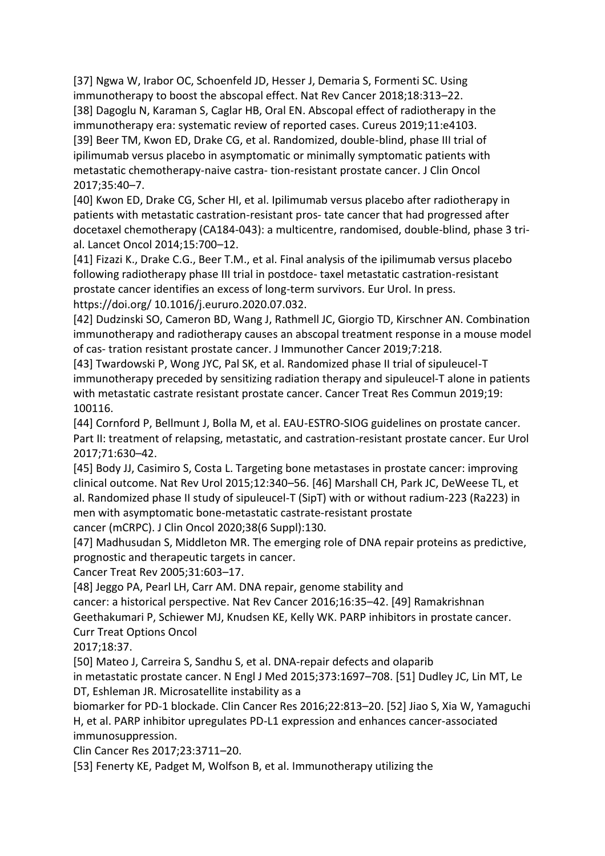[37] Ngwa W, Irabor OC, Schoenfeld JD, Hesser J, Demaria S, Formenti SC. Using immunotherapy to boost the abscopal effect. Nat Rev Cancer 2018;18:313–22. [38] Dagoglu N, Karaman S, Caglar HB, Oral EN. Abscopal effect of radiotherapy in the immunotherapy era: systematic review of reported cases. Cureus 2019;11:e4103. [39] Beer TM, Kwon ED, Drake CG, et al. Randomized, double-blind, phase III trial of ipilimumab versus placebo in asymptomatic or minimally symptomatic patients with metastatic chemotherapy-naive castra- tion-resistant prostate cancer. J Clin Oncol 2017;35:40–7.

[40] Kwon ED, Drake CG, Scher HI, et al. Ipilimumab versus placebo after radiotherapy in patients with metastatic castration-resistant pros- tate cancer that had progressed after docetaxel chemotherapy (CA184-043): a multicentre, randomised, double-blind, phase 3 trial. Lancet Oncol 2014;15:700–12.

[41] Fizazi K., Drake C.G., Beer T.M., et al. Final analysis of the ipilimumab versus placebo following radiotherapy phase III trial in postdoce- taxel metastatic castration-resistant prostate cancer identifies an excess of long-term survivors. Eur Urol. In press. https://doi.org/ 10.1016/j.eururo.2020.07.032.

[42] Dudzinski SO, Cameron BD, Wang J, Rathmell JC, Giorgio TD, Kirschner AN. Combination immunotherapy and radiotherapy causes an abscopal treatment response in a mouse model of cas- tration resistant prostate cancer. J Immunother Cancer 2019;7:218.

[43] Twardowski P, Wong JYC, Pal SK, et al. Randomized phase II trial of sipuleucel-T immunotherapy preceded by sensitizing radiation therapy and sipuleucel-T alone in patients with metastatic castrate resistant prostate cancer. Cancer Treat Res Commun 2019;19: 100116.

[44] Cornford P, Bellmunt J, Bolla M, et al. EAU-ESTRO-SIOG guidelines on prostate cancer. Part II: treatment of relapsing, metastatic, and castration-resistant prostate cancer. Eur Urol 2017;71:630–42.

[45] Body JJ, Casimiro S, Costa L. Targeting bone metastases in prostate cancer: improving clinical outcome. Nat Rev Urol 2015;12:340–56. [46] Marshall CH, Park JC, DeWeese TL, et al. Randomized phase II study of sipuleucel-T (SipT) with or without radium-223 (Ra223) in men with asymptomatic bone-metastatic castrate-resistant prostate cancer (mCRPC). J Clin Oncol 2020;38(6 Suppl):130.

[47] Madhusudan S, Middleton MR. The emerging role of DNA repair proteins as predictive, prognostic and therapeutic targets in cancer.

Cancer Treat Rev 2005;31:603–17.

[48] Jeggo PA, Pearl LH, Carr AM. DNA repair, genome stability and

cancer: a historical perspective. Nat Rev Cancer 2016;16:35–42. [49] Ramakrishnan

Geethakumari P, Schiewer MJ, Knudsen KE, Kelly WK. PARP inhibitors in prostate cancer. Curr Treat Options Oncol

2017;18:37.

[50] Mateo J, Carreira S, Sandhu S, et al. DNA-repair defects and olaparib

in metastatic prostate cancer. N Engl J Med 2015;373:1697–708. [51] Dudley JC, Lin MT, Le DT, Eshleman JR. Microsatellite instability as a

biomarker for PD-1 blockade. Clin Cancer Res 2016;22:813–20. [52] Jiao S, Xia W, Yamaguchi H, et al. PARP inhibitor upregulates PD-L1 expression and enhances cancer-associated immunosuppression.

Clin Cancer Res 2017;23:3711–20.

[53] Fenerty KE, Padget M, Wolfson B, et al. Immunotherapy utilizing the